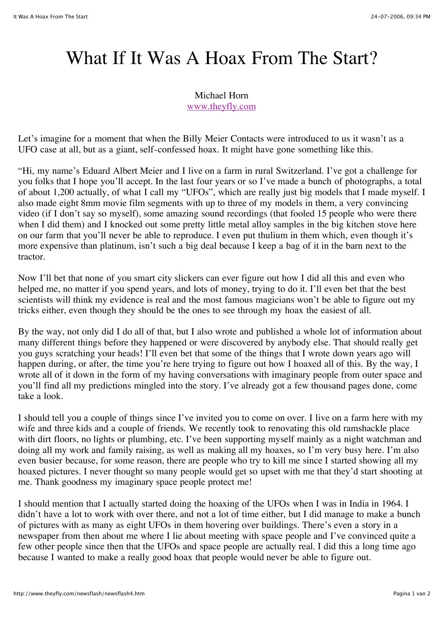## What If It Was A Hoax From The Start?

Michael Horn www.theyfly.com

Let's imagine for a moment that when the Billy Meier Contacts were introduced to us it wasn't as a UFO case at all, but as a giant, self-confessed hoax. It might have gone something like this.

"Hi, my name's Eduard Albert Meier and I live on a farm in rural Switzerland. I've got a challenge for you folks that I hope you'll accept. In the last four years or so I've made a bunch of photographs, a total of about 1,200 actually, of what I call my "UFOs", which are really just big models that I made myself. I also made eight 8mm movie film segments with up to three of my models in them, a very convincing video (if I don't say so myself), some amazing sound recordings (that fooled 15 people who were there when I did them) and I knocked out some pretty little metal alloy samples in the big kitchen stove here on our farm that you'll never be able to reproduce. I even put thulium in them which, even though it's more expensive than platinum, isn't such a big deal because I keep a bag of it in the barn next to the tractor.

Now I'll bet that none of you smart city slickers can ever figure out how I did all this and even who helped me, no matter if you spend years, and lots of money, trying to do it. I'll even bet that the best scientists will think my evidence is real and the most famous magicians won't be able to figure out my tricks either, even though they should be the ones to see through my hoax the easiest of all.

By the way, not only did I do all of that, but I also wrote and published a whole lot of information about many different things before they happened or were discovered by anybody else. That should really get you guys scratching your heads! I'll even bet that some of the things that I wrote down years ago will happen during, or after, the time you're here trying to figure out how I hoaxed all of this. By the way, I wrote all of it down in the form of my having conversations with imaginary people from outer space and you'll find all my predictions mingled into the story. I've already got a few thousand pages done, come take a look.

I should tell you a couple of things since I've invited you to come on over. I live on a farm here with my wife and three kids and a couple of friends. We recently took to renovating this old ramshackle place with dirt floors, no lights or plumbing, etc. I've been supporting myself mainly as a night watchman and doing all my work and family raising, as well as making all my hoaxes, so I'm very busy here. I'm also even busier because, for some reason, there are people who try to kill me since I started showing all my hoaxed pictures. I never thought so many people would get so upset with me that they'd start shooting at me. Thank goodness my imaginary space people protect me!

I should mention that I actually started doing the hoaxing of the UFOs when I was in India in 1964. I didn't have a lot to work with over there, and not a lot of time either, but I did manage to make a bunch of pictures with as many as eight UFOs in them hovering over buildings. There's even a story in a newspaper from then about me where I lie about meeting with space people and I've convinced quite a few other people since then that the UFOs and space people are actually real. I did this a long time ago because I wanted to make a really good hoax that people would never be able to figure out.